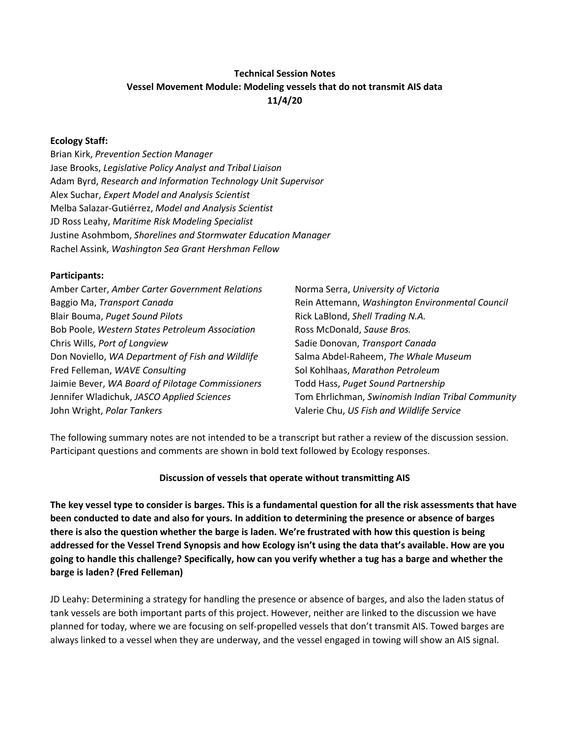# **Technical Session Notes Vessel Movement Module: Modeling vessels that do not transmit AIS data 11/4/20**

#### **Ecology Staff:**

Brian Kirk, *Prevention Section Manager* Jase Brooks, *Legislative Policy Analyst and Tribal Liaison* Adam Byrd, *Research and Information Technology Unit Supervisor* Alex Suchar, *Expert Model and Analysis Scientist* Melba Salazar-Gutiérrez, *Model and Analysis Scientist*  JD Ross Leahy, *Maritime Risk Modeling Specialist* Justine Asohmbom, *Shorelines and Stormwater Education Manager*  Rachel Assink, *Washington Sea Grant Hershman Fellow*

#### **Participants:**

| Amber Carter, Amber Carter Government Relations  | Norma Serra, University of Victoria               |
|--------------------------------------------------|---------------------------------------------------|
| Baggio Ma, Transport Canada                      | Rein Attemann, Washington Environmental Council   |
| Blair Bouma, Puget Sound Pilots                  | Rick LaBlond, Shell Trading N.A.                  |
| Bob Poole, Western States Petroleum Association  | Ross McDonald, Sause Bros.                        |
| Chris Wills, Port of Longview                    | Sadie Donovan, Transport Canada                   |
| Don Noviello, WA Department of Fish and Wildlife | Salma Abdel-Raheem, The Whale Museum              |
| Fred Felleman, WAVE Consulting                   | Sol Kohlhaas, Marathon Petroleum                  |
| Jaimie Bever, WA Board of Pilotage Commissioners | Todd Hass, Puget Sound Partnership                |
| Jennifer Wladichuk, JASCO Applied Sciences       | Tom Ehrlichman, Swinomish Indian Tribal Community |
| John Wright, Polar Tankers                       | Valerie Chu, US Fish and Wildlife Service         |

The following summary notes are not intended to be a transcript but rather a review of the discussion session. Participant questions and comments are shown in bold text followed by Ecology responses.

#### **Discussion of vessels that operate without transmitting AIS**

**The key vessel type to consider is barges. This is a fundamental question for all the risk assessments that have been conducted to date and also for yours. In addition to determining the presence or absence of barges there is also the question whether the barge is laden. We're frustrated with how this question is being addressed for the Vessel Trend Synopsis and how Ecology isn't using the data that's available. How are you going to handle this challenge? Specifically, how can you verify whether a tug has a barge and whether the barge is laden? (Fred Felleman)**

JD Leahy: Determining a strategy for handling the presence or absence of barges, and also the laden status of tank vessels are both important parts of this project. However, neither are linked to the discussion we have planned for today, where we are focusing on self-propelled vessels that don't transmit AIS. Towed barges are always linked to a vessel when they are underway, and the vessel engaged in towing will show an AIS signal.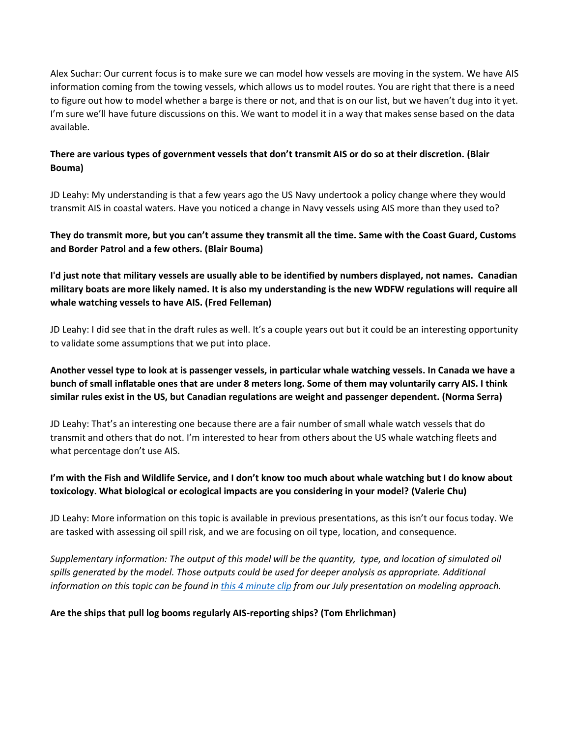Alex Suchar: Our current focus is to make sure we can model how vessels are moving in the system. We have AIS information coming from the towing vessels, which allows us to model routes. You are right that there is a need to figure out how to model whether a barge is there or not, and that is on our list, but we haven't dug into it yet. I'm sure we'll have future discussions on this. We want to model it in a way that makes sense based on the data available.

#### **There are various types of government vessels that don't transmit AIS or do so at their discretion. (Blair Bouma)**

JD Leahy: My understanding is that a few years ago the US Navy undertook a policy change where they would transmit AIS in coastal waters. Have you noticed a change in Navy vessels using AIS more than they used to?

#### **They do transmit more, but you can't assume they transmit all the time. Same with the Coast Guard, Customs and Border Patrol and a few others. (Blair Bouma)**

# **I'd just note that military vessels are usually able to be identified by numbers displayed, not names. Canadian military boats are more likely named. It is also my understanding is the new WDFW regulations will require all whale watching vessels to have AIS. (Fred Felleman)**

JD Leahy: I did see that in the draft rules as well. It's a couple years out but it could be an interesting opportunity to validate some assumptions that we put into place.

# **Another vessel type to look at is passenger vessels, in particular whale watching vessels. In Canada we have a bunch of small inflatable ones that are under 8 meters long. Some of them may voluntarily carry AIS. I think similar rules exist in the US, but Canadian regulations are weight and passenger dependent. (Norma Serra)**

JD Leahy: That's an interesting one because there are a fair number of small whale watch vessels that do transmit and others that do not. I'm interested to hear from others about the US whale watching fleets and what percentage don't use AIS.

## **I'm with the Fish and Wildlife Service, and I don't know too much about whale watching but I do know about toxicology. What biological or ecological impacts are you considering in your model? (Valerie Chu)**

JD Leahy: More information on this topic is available in previous presentations, as this isn't our focus today. We are tasked with assessing oil spill risk, and we are focusing on oil type, location, and consequence.

*Supplementary information: The output of this model will be the quantity, type, and location of simulated oil spills generated by the model. Those outputs could be used for deeper analysis as appropriate. Additional information on this topic can be found in [this 4 minute clip](https://youtu.be/6pWLujD83y4?t=2276) from our July presentation on modeling approach.*

## **Are the ships that pull log booms regularly AIS-reporting ships? (Tom Ehrlichman)**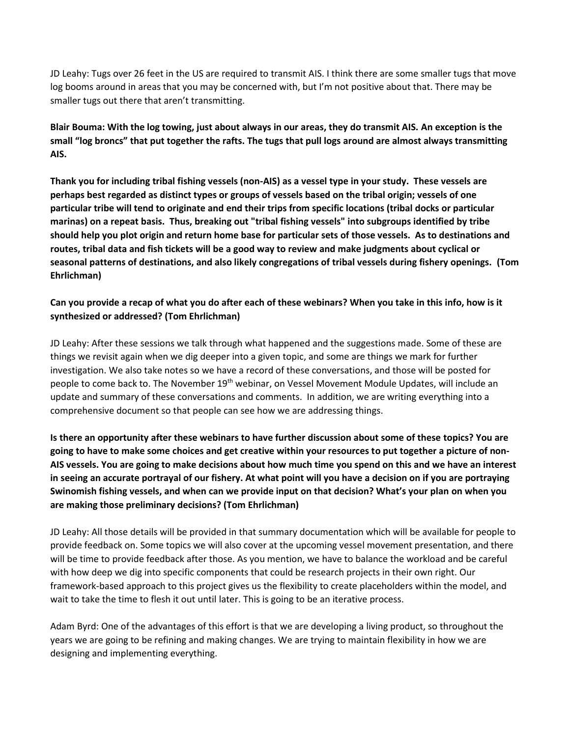JD Leahy: Tugs over 26 feet in the US are required to transmit AIS. I think there are some smaller tugs that move log booms around in areas that you may be concerned with, but I'm not positive about that. There may be smaller tugs out there that aren't transmitting.

**Blair Bouma: With the log towing, just about always in our areas, they do transmit AIS. An exception is the small "log broncs" that put together the rafts. The tugs that pull logs around are almost always transmitting AIS.**

**Thank you for including tribal fishing vessels (non-AIS) as a vessel type in your study. These vessels are perhaps best regarded as distinct types or groups of vessels based on the tribal origin; vessels of one particular tribe will tend to originate and end their trips from specific locations (tribal docks or particular marinas) on a repeat basis. Thus, breaking out "tribal fishing vessels" into subgroups identified by tribe should help you plot origin and return home base for particular sets of those vessels. As to destinations and routes, tribal data and fish tickets will be a good way to review and make judgments about cyclical or seasonal patterns of destinations, and also likely congregations of tribal vessels during fishery openings. (Tom Ehrlichman)**

### **Can you provide a recap of what you do after each of these webinars? When you take in this info, how is it synthesized or addressed? (Tom Ehrlichman)**

JD Leahy: After these sessions we talk through what happened and the suggestions made. Some of these are things we revisit again when we dig deeper into a given topic, and some are things we mark for further investigation. We also take notes so we have a record of these conversations, and those will be posted for people to come back to. The November 19<sup>th</sup> webinar, on Vessel Movement Module Updates, will include an update and summary of these conversations and comments. In addition, we are writing everything into a comprehensive document so that people can see how we are addressing things.

**Is there an opportunity after these webinars to have further discussion about some of these topics? You are going to have to make some choices and get creative within your resources to put together a picture of non-AIS vessels. You are going to make decisions about how much time you spend on this and we have an interest in seeing an accurate portrayal of our fishery. At what point will you have a decision on if you are portraying Swinomish fishing vessels, and when can we provide input on that decision? What's your plan on when you are making those preliminary decisions? (Tom Ehrlichman)**

JD Leahy: All those details will be provided in that summary documentation which will be available for people to provide feedback on. Some topics we will also cover at the upcoming vessel movement presentation, and there will be time to provide feedback after those. As you mention, we have to balance the workload and be careful with how deep we dig into specific components that could be research projects in their own right. Our framework-based approach to this project gives us the flexibility to create placeholders within the model, and wait to take the time to flesh it out until later. This is going to be an iterative process.

Adam Byrd: One of the advantages of this effort is that we are developing a living product, so throughout the years we are going to be refining and making changes. We are trying to maintain flexibility in how we are designing and implementing everything.